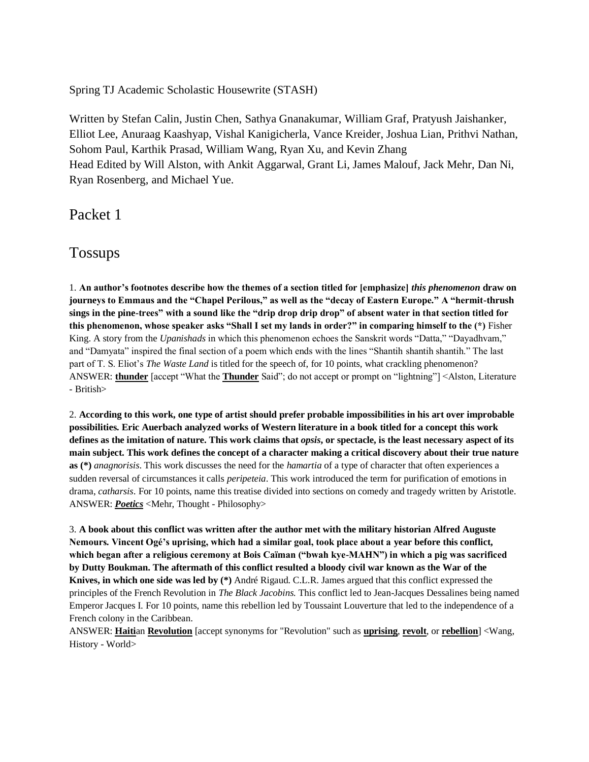Spring TJ Academic Scholastic Housewrite (STASH)

Written by Stefan Calin, Justin Chen, Sathya Gnanakumar, William Graf, Pratyush Jaishanker, Elliot Lee, Anuraag Kaashyap, Vishal Kanigicherla, Vance Kreider, Joshua Lian, Prithvi Nathan, Sohom Paul, Karthik Prasad, William Wang, Ryan Xu, and Kevin Zhang Head Edited by Will Alston, with Ankit Aggarwal, Grant Li, James Malouf, Jack Mehr, Dan Ni, Ryan Rosenberg, and Michael Yue.

Packet 1

Tossups

1. **An author's footnotes describe how the themes of a section titled for [emphasize]** *this phenomenon* **draw on journeys to Emmaus and the "Chapel Perilous," as well as the "decay of Eastern Europe." A "hermit-thrush sings in the pine-trees" with a sound like the "drip drop drip drop" of absent water in that section titled for this phenomenon, whose speaker asks "Shall I set my lands in order?" in comparing himself to the (\*)** Fisher King. A story from the *Upanishads* in which this phenomenon echoes the Sanskrit words "Datta," "Dayadhvam," and "Damyata" inspired the final section of a poem which ends with the lines "Shantih shantih shantih." The last part of T. S. Eliot's *The Waste Land* is titled for the speech of, for 10 points, what crackling phenomenon? ANSWER: **thunder** [accept "What the **Thunder** Said"; do not accept or prompt on "lightning"] <Alston, Literature - British>

2. **According to this work, one type of artist should prefer probable impossibilities in his art over improbable possibilities. Eric Auerbach analyzed works of Western literature in a book titled for a concept this work defines as the imitation of nature. This work claims that** *opsis***, or spectacle, is the least necessary aspect of its main subject. This work defines the concept of a character making a critical discovery about their true nature as (\*)** *anagnorisis*. This work discusses the need for the *hamartia* of a type of character that often experiences a sudden reversal of circumstances it calls *peripeteia*. This work introduced the term for purification of emotions in drama, *catharsis*. For 10 points, name this treatise divided into sections on comedy and tragedy written by Aristotle. ANSWER: *Poetics* <Mehr, Thought - Philosophy>

3. **A book about this conflict was written after the author met with the military historian Alfred Auguste Nemours. Vincent Ogé's uprising, which had a similar goal, took place about a year before this conflict, which began after a religious ceremony at Bois Caïman ("bwah kye-MAHN") in which a pig was sacrificed by Dutty Boukman. The aftermath of this conflict resulted a bloody civil war known as the War of the Knives, in which one side was led by (\*)** André Rigaud. C.L.R. James argued that this conflict expressed the principles of the French Revolution in *The Black Jacobins.* This conflict led to Jean-Jacques Dessalines being named Emperor Jacques I. For 10 points, name this rebellion led by Toussaint Louverture that led to the independence of a French colony in the Caribbean.

ANSWER: **Haiti**an **Revolution** [accept synonyms for "Revolution" such as **uprising**, **revolt**, or **rebellion**] <Wang, History - World>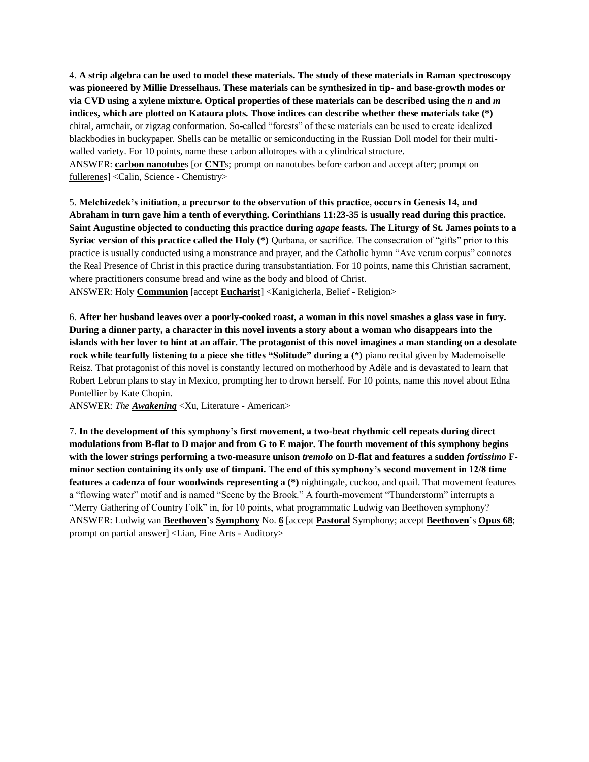4. **A strip algebra can be used to model these materials. The study of these materials in Raman spectroscopy was pioneered by Millie Dresselhaus. These materials can be synthesized in tip- and base-growth modes or via CVD using a xylene mixture. Optical properties of these materials can be described using the** *n* **and** *m* **indices, which are plotted on Kataura plots. Those indices can describe whether these materials take (\*)** chiral, armchair, or zigzag conformation. So-called "forests" of these materials can be used to create idealized blackbodies in buckypaper. Shells can be metallic or semiconducting in the Russian Doll model for their multiwalled variety. For 10 points, name these carbon allotropes with a cylindrical structure.

ANSWER: **carbon nanotube**s [or **CNT**s; prompt on nanotubes before carbon and accept after; prompt on fullerenes] <Calin, Science - Chemistry>

5. **Melchizedek's initiation, a precursor to the observation of this practice, occurs in Genesis 14, and Abraham in turn gave him a tenth of everything. Corinthians 11:23-35 is usually read during this practice. Saint Augustine objected to conducting this practice during** *agape* **feasts. The Liturgy of St. James points to a Syriac version of this practice called the Holy (\*)** Qurbana, or sacrifice. The consecration of "gifts" prior to this practice is usually conducted using a monstrance and prayer, and the Catholic hymn "Ave verum corpus" connotes the Real Presence of Christ in this practice during transubstantiation. For 10 points, name this Christian sacrament, where practitioners consume bread and wine as the body and blood of Christ. ANSWER: Holy **Communion** [accept **Eucharist**] <Kanigicherla, Belief - Religion>

6. **After her husband leaves over a poorly-cooked roast, a woman in this novel smashes a glass vase in fury. During a dinner party, a character in this novel invents a story about a woman who disappears into the islands with her lover to hint at an affair. The protagonist of this novel imagines a man standing on a desolate rock while tearfully listening to a piece she titles "Solitude" during a** (\*) piano recital given by Mademoiselle Reisz. That protagonist of this novel is constantly lectured on motherhood by Adèle and is devastated to learn that Robert Lebrun plans to stay in Mexico, prompting her to drown herself. For 10 points, name this novel about Edna Pontellier by Kate Chopin.

ANSWER: *The Awakening* <Xu, Literature - American>

7. **In the development of this symphony's first movement, a two-beat rhythmic cell repeats during direct modulations from B-flat to D major and from G to E major. The fourth movement of this symphony begins with the lower strings performing a two-measure unison** *tremolo* **on D-flat and features a sudden** *fortissimo* **Fminor section containing its only use of timpani. The end of this symphony's second movement in 12/8 time features a cadenza of four woodwinds representing a (\*)** nightingale, cuckoo, and quail. That movement features a "flowing water" motif and is named "Scene by the Brook." A fourth-movement "Thunderstorm" interrupts a "Merry Gathering of Country Folk" in, for 10 points, what programmatic Ludwig van Beethoven symphony? ANSWER: Ludwig van **Beethoven**'s **Symphony** No. **6** [accept **Pastoral** Symphony; accept **Beethoven**'s **Opus 68**; prompt on partial answer] <Lian, Fine Arts - Auditory>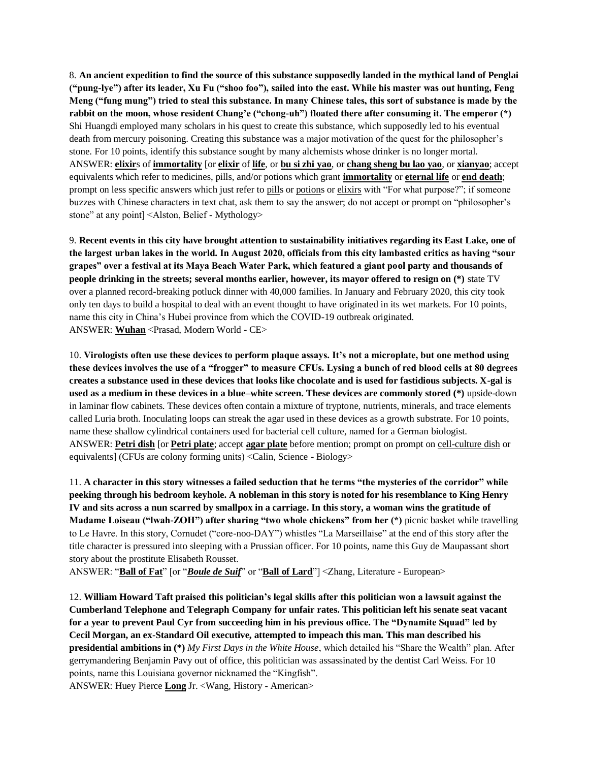8. **An ancient expedition to find the source of this substance supposedly landed in the mythical land of Penglai ("pung-lye") after its leader, Xu Fu ("shoo foo"), sailed into the east. While his master was out hunting, Feng Meng ("fung mung") tried to steal this substance. In many Chinese tales, this sort of substance is made by the rabbit on the moon, whose resident Chang'e ("chong-uh") floated there after consuming it. The emperor (\*)**  Shi Huangdi employed many scholars in his quest to create this substance, which supposedly led to his eventual death from mercury poisoning. Creating this substance was a major motivation of the quest for the philosopher's stone. For 10 points, identify this substance sought by many alchemists whose drinker is no longer mortal. ANSWER: **elixir**s of **immortality** [or **elixir** of **life**, or **bu si zhi yao**, or **chang sheng bu lao yao**, or **xianyao**; accept equivalents which refer to medicines, pills, and/or potions which grant **immortality** or **eternal life** or **end death**; prompt on less specific answers which just refer to pills or potions or elixirs with "For what purpose?"; if someone buzzes with Chinese characters in text chat, ask them to say the answer; do not accept or prompt on "philosopher's stone" at any point] <Alston, Belief - Mythology>

9. **Recent events in this city have brought attention to sustainability initiatives regarding its East Lake, one of the largest urban lakes in the world. In August 2020, officials from this city lambasted critics as having "sour grapes" over a festival at its Maya Beach Water Park, which featured a giant pool party and thousands of people drinking in the streets; several months earlier, however, its mayor offered to resign on (\*)** state TV over a planned record-breaking potluck dinner with 40,000 families. In January and February 2020, this city took only ten days to build a hospital to deal with an event thought to have originated in its wet markets. For 10 points, name this city in China's Hubei province from which the COVID-19 outbreak originated. ANSWER: **Wuhan** <Prasad, Modern World - CE>

10. **Virologists often use these devices to perform plaque assays. It's not a microplate, but one method using these devices involves the use of a "frogger" to measure CFUs. Lysing a bunch of red blood cells at 80 degrees creates a substance used in these devices that looks like chocolate and is used for fastidious subjects. X-gal is used as a medium in these devices in a blue–white screen. These devices are commonly stored (\*)** upside-down in laminar flow cabinets. These devices often contain a mixture of tryptone, nutrients, minerals, and trace elements called Luria broth. Inoculating loops can streak the agar used in these devices as a growth substrate. For 10 points, name these shallow cylindrical containers used for bacterial cell culture, named for a German biologist. ANSWER: **Petri dish** [or **Petri plate**; accept **agar plate** before mention; prompt on prompt on cell-culture dish or equivalents] (CFUs are colony forming units) <Calin, Science - Biology>

11. **A character in this story witnesses a failed seduction that he terms "the mysteries of the corridor" while peeking through his bedroom keyhole. A nobleman in this story is noted for his resemblance to King Henry IV and sits across a nun scarred by smallpox in a carriage. In this story, a woman wins the gratitude of Madame Loiseau ("lwah-ZOH") after sharing "two whole chickens" from her (\*)** picnic basket while travelling to Le Havre. In this story, Cornudet ("core-noo-DAY") whistles "La Marseillaise" at the end of this story after the title character is pressured into sleeping with a Prussian officer. For 10 points, name this Guy de Maupassant short story about the prostitute Elisabeth Rousset.

ANSWER: "**Ball of Fat**" [or "*Boule de Suif*" or "**Ball of Lard**"] <Zhang, Literature - European>

12. **William Howard Taft praised this politician's legal skills after this politician won a lawsuit against the Cumberland Telephone and Telegraph Company for unfair rates. This politician left his senate seat vacant for a year to prevent Paul Cyr from succeeding him in his previous office. The "Dynamite Squad" led by Cecil Morgan, an ex-Standard Oil executive, attempted to impeach this man. This man described his presidential ambitions in (\*)** *My First Days in the White House*, which detailed his "Share the Wealth" plan. After gerrymandering Benjamin Pavy out of office, this politician was assassinated by the dentist Carl Weiss. For 10 points, name this Louisiana governor nicknamed the "Kingfish".

ANSWER: Huey Pierce **Long** Jr. <Wang, History - American>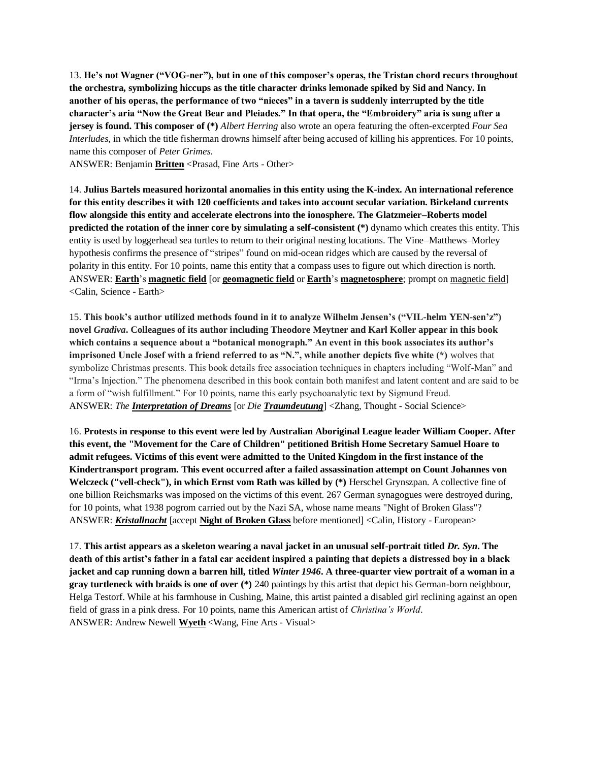13. **He's not Wagner ("VOG-ner"), but in one of this composer's operas, the Tristan chord recurs throughout the orchestra, symbolizing hiccups as the title character drinks lemonade spiked by Sid and Nancy. In another of his operas, the performance of two "nieces" in a tavern is suddenly interrupted by the title character's aria "Now the Great Bear and Pleiades." In that opera, the "Embroidery" aria is sung after a jersey is found. This composer of (\*)** *Albert Herring* also wrote an opera featuring the often-excerpted *Four Sea Interludes*, in which the title fisherman drowns himself after being accused of killing his apprentices. For 10 points, name this composer of *Peter Grimes*.

ANSWER: Benjamin **Britten** <Prasad, Fine Arts - Other>

14. **Julius Bartels measured horizontal anomalies in this entity using the K-index. An international reference for this entity describes it with 120 coefficients and takes into account secular variation. Birkeland currents flow alongside this entity and accelerate electrons into the ionosphere. The Glatzmeier–Roberts model predicted the rotation of the inner core by simulating a self-consistent (\*)** dynamo which creates this entity. This entity is used by loggerhead sea turtles to return to their original nesting locations. The Vine–Matthews–Morley hypothesis confirms the presence of "stripes" found on mid-ocean ridges which are caused by the reversal of polarity in this entity. For 10 points, name this entity that a compass uses to figure out which direction is north. ANSWER: **Earth**'s **magnetic field** [or **geomagnetic field** or **Earth**'s **magnetosphere**; prompt on magnetic field] <Calin, Science - Earth>

15. **This book's author utilized methods found in it to analyze Wilhelm Jensen's ("VIL-helm YEN-sen'z") novel** *Gradiva***. Colleagues of its author including Theodore Meytner and Karl Koller appear in this book which contains a sequence about a "botanical monograph." An event in this book associates its author's imprisoned Uncle Josef with a friend referred to as "N.", while another depicts five white (\*)** wolves that symbolize Christmas presents. This book details free association techniques in chapters including "Wolf-Man" and "Irma's Injection." The phenomena described in this book contain both manifest and latent content and are said to be a form of "wish fulfillment." For 10 points, name this early psychoanalytic text by Sigmund Freud. ANSWER: *The Interpretation of Dreams* [or *Die Traumdeutung*] <Zhang, Thought - Social Science>

16. **Protests in response to this event were led by Australian Aboriginal League leader William Cooper. After this event, the "Movement for the Care of Children" petitioned British Home Secretary Samuel Hoare to admit refugees. Victims of this event were admitted to the United Kingdom in the first instance of the Kindertransport program. This event occurred after a failed assassination attempt on Count Johannes von Welczeck ("vell-check"), in which Ernst vom Rath was killed by (\*)** Herschel Grynszpan. A collective fine of one billion Reichsmarks was imposed on the victims of this event. 267 German synagogues were destroyed during, for 10 points, what 1938 pogrom carried out by the Nazi SA, whose name means "Night of Broken Glass"? ANSWER: *Kristallnacht* [accept **Night of Broken Glass** before mentioned] <Calin, History - European>

17. **This artist appears as a skeleton wearing a naval jacket in an unusual self-portrait titled** *Dr. Syn***. The death of this artist's father in a fatal car accident inspired a painting that depicts a distressed boy in a black jacket and cap running down a barren hill, titled** *Winter 1946***. A three-quarter view portrait of a woman in a gray turtleneck with braids is one of over (\*)** 240 paintings by this artist that depict his German-born neighbour, Helga Testorf. While at his farmhouse in Cushing, Maine, this artist painted a disabled girl reclining against an open field of grass in a pink dress. For 10 points, name this American artist of *Christina's World*. ANSWER: Andrew Newell **Wyeth** <Wang, Fine Arts - Visual>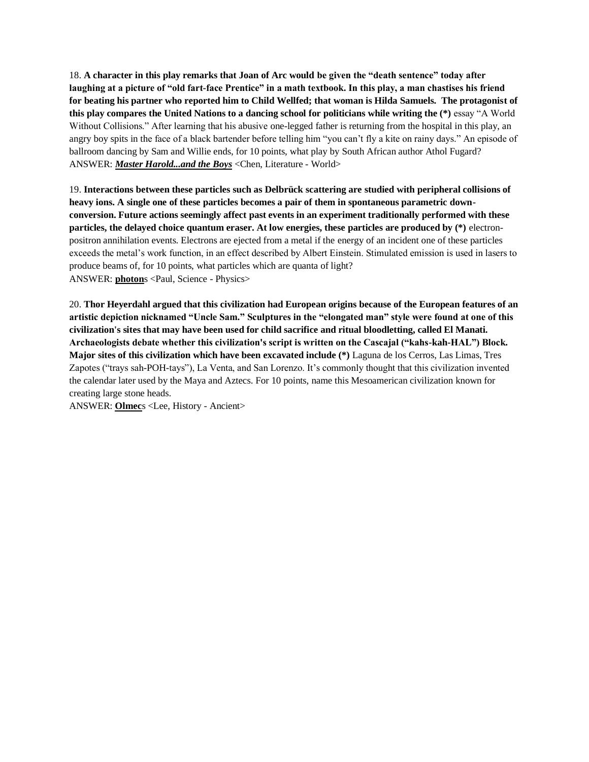18. **A character in this play remarks that Joan of Arc would be given the "death sentence" today after laughing at a picture of "old fart-face Prentice" in a math textbook. In this play, a man chastises his friend for beating his partner who reported him to Child Wellfed; that woman is Hilda Samuels. The protagonist of this play compares the United Nations to a dancing school for politicians while writing the (\*)** essay "A World Without Collisions." After learning that his abusive one-legged father is returning from the hospital in this play, an angry boy spits in the face of a black bartender before telling him "you can't fly a kite on rainy days." An episode of ballroom dancing by Sam and Willie ends, for 10 points, what play by South African author Athol Fugard? ANSWER: *Master Harold...and the Boys* <Chen, Literature - World>

19. **Interactions between these particles such as Delbrück scattering are studied with peripheral collisions of heavy ions. A single one of these particles becomes a pair of them in spontaneous parametric downconversion. Future actions seemingly affect past events in an experiment traditionally performed with these particles, the delayed choice quantum eraser. At low energies, these particles are produced by (\*)** electronpositron annihilation events. Electrons are ejected from a metal if the energy of an incident one of these particles exceeds the metal's work function, in an effect described by Albert Einstein. Stimulated emission is used in lasers to produce beams of, for 10 points, what particles which are quanta of light? ANSWER: **photon**s <Paul, Science - Physics>

20. **Thor Heyerdahl argued that this civilization had European origins because of the European features of an artistic depiction nicknamed "Uncle Sam." Sculptures in the "elongated man" style were found at one of this civilization's sites that may have been used for child sacrifice and ritual bloodletting, called El Manati. Archaeologists debate whether this civilization's script is written on the Cascajal ("kahs-kah-HAL") Block. Major sites of this civilization which have been excavated include (\*)** Laguna de los Cerros, Las Limas, Tres Zapotes ("trays sah-POH-tays"), La Venta, and San Lorenzo. It's commonly thought that this civilization invented the calendar later used by the Maya and Aztecs. For 10 points, name this Mesoamerican civilization known for creating large stone heads.

ANSWER: **Olmec**s <Lee, History - Ancient>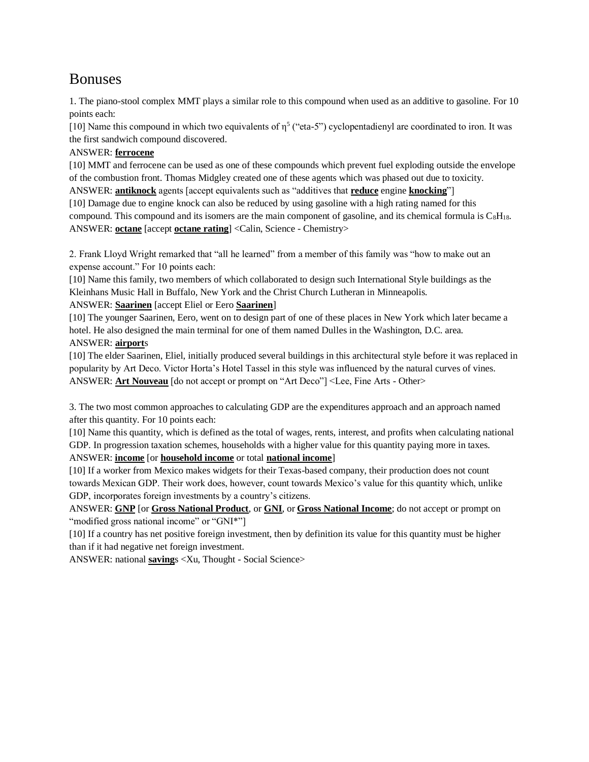# Bonuses

1. The piano-stool complex MMT plays a similar role to this compound when used as an additive to gasoline. For 10 points each:

[10] Name this compound in which two equivalents of  $\eta^5$  ("eta-5") cyclopentadienyl are coordinated to iron. It was the first sandwich compound discovered.

# ANSWER: **ferrocene**

[10] MMT and ferrocene can be used as one of these compounds which prevent fuel exploding outside the envelope of the combustion front. Thomas Midgley created one of these agents which was phased out due to toxicity.

ANSWER: **antiknock** agents [accept equivalents such as "additives that **reduce** engine **knocking**"]

[10] Damage due to engine knock can also be reduced by using gasoline with a high rating named for this compound. This compound and its isomers are the main component of gasoline, and its chemical formula is  $C_8H_{18}$ . ANSWER: **octane** [accept **octane rating**] <Calin, Science - Chemistry>

2. Frank Lloyd Wright remarked that "all he learned" from a member of this family was "how to make out an expense account." For 10 points each:

[10] Name this family, two members of which collaborated to design such International Style buildings as the Kleinhans Music Hall in Buffalo, New York and the Christ Church Lutheran in Minneapolis.

# ANSWER: **Saarinen** [accept Eliel or Eero **Saarinen**]

[10] The younger Saarinen, Eero, went on to design part of one of these places in New York which later became a hotel. He also designed the main terminal for one of them named Dulles in the Washington, D.C. area. ANSWER: **airport**s

[10] The elder Saarinen, Eliel, initially produced several buildings in this architectural style before it was replaced in popularity by Art Deco. Victor Horta's Hotel Tassel in this style was influenced by the natural curves of vines. ANSWER: **Art Nouveau** [do not accept or prompt on "Art Deco"] <Lee, Fine Arts - Other>

3. The two most common approaches to calculating GDP are the expenditures approach and an approach named after this quantity. For 10 points each:

[10] Name this quantity, which is defined as the total of wages, rents, interest, and profits when calculating national GDP. In progression taxation schemes, households with a higher value for this quantity paying more in taxes. ANSWER: **income** [or **household income** or total **national income**]

[10] If a worker from Mexico makes widgets for their Texas-based company, their production does not count towards Mexican GDP. Their work does, however, count towards Mexico's value for this quantity which, unlike GDP, incorporates foreign investments by a country's citizens.

ANSWER: **GNP** [or **Gross National Product**, or **GNI**, or **Gross National Income**; do not accept or prompt on "modified gross national income" or "GNI\*"]

[10] If a country has net positive foreign investment, then by definition its value for this quantity must be higher than if it had negative net foreign investment.

ANSWER: national **saving**s <Xu, Thought - Social Science>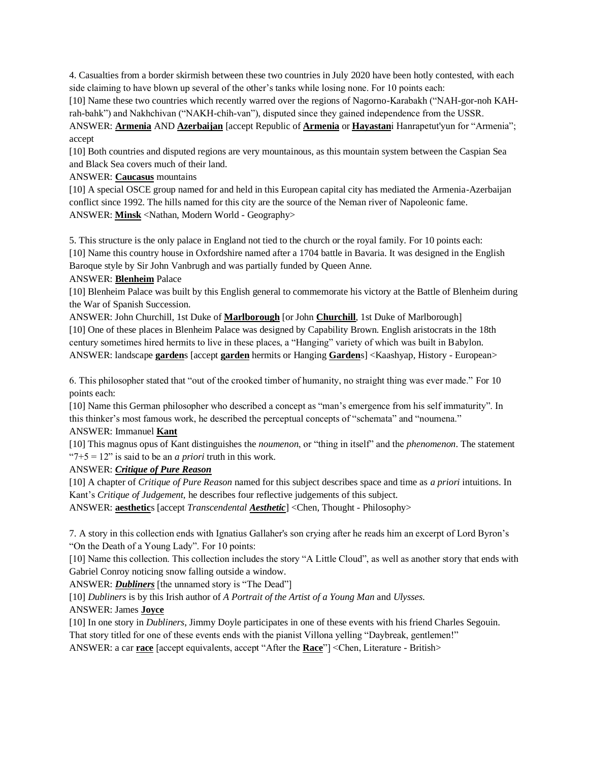4. Casualties from a border skirmish between these two countries in July 2020 have been hotly contested, with each side claiming to have blown up several of the other's tanks while losing none. For 10 points each:

[10] Name these two countries which recently warred over the regions of Nagorno-Karabakh ("NAH-gor-noh KAHrah-bahk") and Nakhchivan ("NAKH-chih-van"), disputed since they gained independence from the USSR.

ANSWER: **Armenia** AND **Azerbaijan** [accept Republic of **Armenia** or **Hayastan**i Hanrapetut'yun for "Armenia"; accept

[10] Both countries and disputed regions are very mountainous, as this mountain system between the Caspian Sea and Black Sea covers much of their land.

#### ANSWER: **Caucasus** mountains

[10] A special OSCE group named for and held in this European capital city has mediated the Armenia-Azerbaijan conflict since 1992. The hills named for this city are the source of the Neman river of Napoleonic fame. ANSWER: **Minsk** <Nathan, Modern World - Geography>

5. This structure is the only palace in England not tied to the church or the royal family. For 10 points each: [10] Name this country house in Oxfordshire named after a 1704 battle in Bavaria. It was designed in the English Baroque style by Sir John Vanbrugh and was partially funded by Queen Anne.

ANSWER: **Blenheim** Palace

[10] Blenheim Palace was built by this English general to commemorate his victory at the Battle of Blenheim during the War of Spanish Succession.

ANSWER: John Churchill, 1st Duke of **Marlborough** [or John **Churchill**, 1st Duke of Marlborough] [10] One of these places in Blenheim Palace was designed by Capability Brown. English aristocrats in the 18th century sometimes hired hermits to live in these places, a "Hanging" variety of which was built in Babylon. ANSWER: landscape **garden**s [accept **garden** hermits or Hanging **Garden**s] <Kaashyap, History - European>

6. This philosopher stated that "out of the crooked timber of humanity, no straight thing was ever made." For 10 points each:

[10] Name this German philosopher who described a concept as "man's emergence from his self immaturity". In this thinker's most famous work, he described the perceptual concepts of "schemata" and "noumena."

### ANSWER: Immanuel **Kant**

[10] This magnus opus of Kant distinguishes the *noumenon*, or "thing in itself" and the *phenomenon*. The statement "7+5 = 12" is said to be an *a priori* truth in this work.

## ANSWER: *Critique of Pure Reason*

[10] A chapter of *Critique of Pure Reason* named for this subject describes space and time as *a priori* intuitions. In Kant's *Critique of Judgement,* he describes four reflective judgements of this subject.

ANSWER: **aesthetic**s [accept *Transcendental Aesthetic*] <Chen, Thought - Philosophy>

7. A story in this collection ends with Ignatius Gallaher's son crying after he reads him an excerpt of Lord Byron's "On the Death of a Young Lady". For 10 points:

[10] Name this collection. This collection includes the story "A Little Cloud", as well as another story that ends with Gabriel Conroy noticing snow falling outside a window.

ANSWER: *Dubliners* [the unnamed story is "The Dead"]

[10] *Dubliners* is by this Irish author of *A Portrait of the Artist of a Young Man* and *Ulysses*.

## ANSWER: James **Joyce**

[10] In one story in *Dubliners*, Jimmy Doyle participates in one of these events with his friend Charles Segouin. That story titled for one of these events ends with the pianist Villona yelling "Daybreak, gentlemen!" ANSWER: a car **race** [accept equivalents, accept "After the **Race**"] <Chen, Literature - British>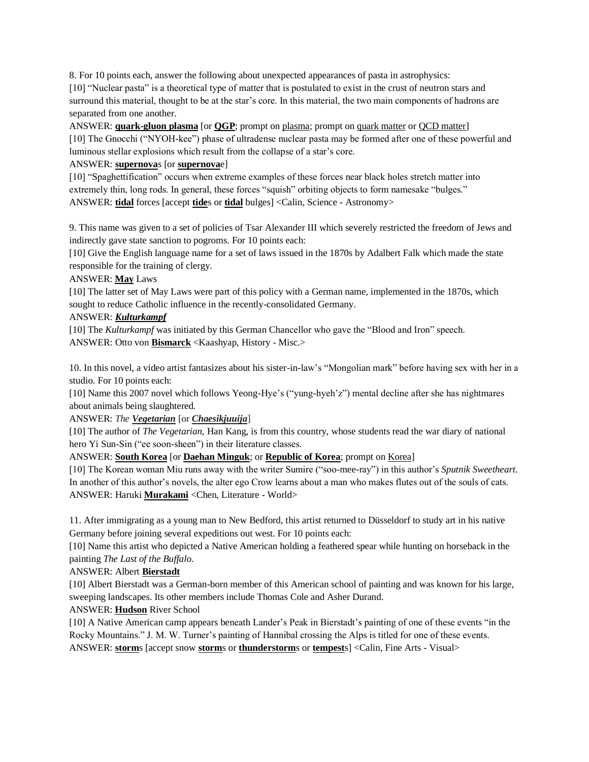8. For 10 points each, answer the following about unexpected appearances of pasta in astrophysics:

[10] "Nuclear pasta" is a theoretical type of matter that is postulated to exist in the crust of neutron stars and surround this material, thought to be at the star's core. In this material, the two main components of hadrons are separated from one another.

ANSWER: **quark-gluon plasma** [or **QGP**; prompt on plasma; prompt on quark matter or QCD matter] [10] The Gnocchi ("NYOH-kee") phase of ultradense nuclear pasta may be formed after one of these powerful and luminous stellar explosions which result from the collapse of a star's core.

## ANSWER: **supernova**s [or **supernova**e]

[10] "Spaghettification" occurs when extreme examples of these forces near black holes stretch matter into extremely thin, long rods. In general, these forces "squish" orbiting objects to form namesake "bulges." ANSWER: **tidal** forces [accept **tide**s or **tidal** bulges] <Calin, Science - Astronomy>

9. This name was given to a set of policies of Tsar Alexander III which severely restricted the freedom of Jews and indirectly gave state sanction to pogroms. For 10 points each:

[10] Give the English language name for a set of laws issued in the 1870s by Adalbert Falk which made the state responsible for the training of clergy.

ANSWER: **May** Laws

[10] The latter set of May Laws were part of this policy with a German name, implemented in the 1870s, which sought to reduce Catholic influence in the recently-consolidated Germany.

## ANSWER: *Kulturkampf*

[10] The *Kulturkampf* was initiated by this German Chancellor who gave the "Blood and Iron" speech. ANSWER: Otto von **Bismarck** <Kaashyap, History - Misc.>

10. In this novel, a video artist fantasizes about his sister-in-law's "Mongolian mark" before having sex with her in a studio. For 10 points each:

[10] Name this 2007 novel which follows Yeong-Hye's ("yung-hyeh'z") mental decline after she has nightmares about animals being slaughtered.

ANSWER: *The Vegetarian* [or *Chaesikjuuija*]

[10] The author of *The Vegetarian,* Han Kang, is from this country, whose students read the war diary of national hero Yi Sun-Sin ("ee soon-sheen") in their literature classes.

ANSWER: **South Korea** [or **Daehan Minguk**; or **Republic of Korea**; prompt on Korea]

[10] The Korean woman Miu runs away with the writer Sumire ("soo-mee-ray") in this author's *Sputnik Sweetheart*. In another of this author's novels, the alter ego Crow learns about a man who makes flutes out of the souls of cats. ANSWER: Haruki **Murakami** <Chen, Literature - World>

11. After immigrating as a young man to New Bedford, this artist returned to Düsseldorf to study art in his native Germany before joining several expeditions out west. For 10 points each:

[10] Name this artist who depicted a Native American holding a feathered spear while hunting on horseback in the painting *The Last of the Buffalo*.

ANSWER: Albert **Bierstadt**

[10] Albert Bierstadt was a German-born member of this American school of painting and was known for his large, sweeping landscapes. Its other members include Thomas Cole and Asher Durand.

## ANSWER: **Hudson** River School

[10] A Native American camp appears beneath Lander's Peak in Bierstadt's painting of one of these events "in the Rocky Mountains." J. M. W. Turner's painting of Hannibal crossing the Alps is titled for one of these events. ANSWER: **storm**s [accept snow **storm**s or **thunderstorm**s or **tempest**s] <Calin, Fine Arts - Visual>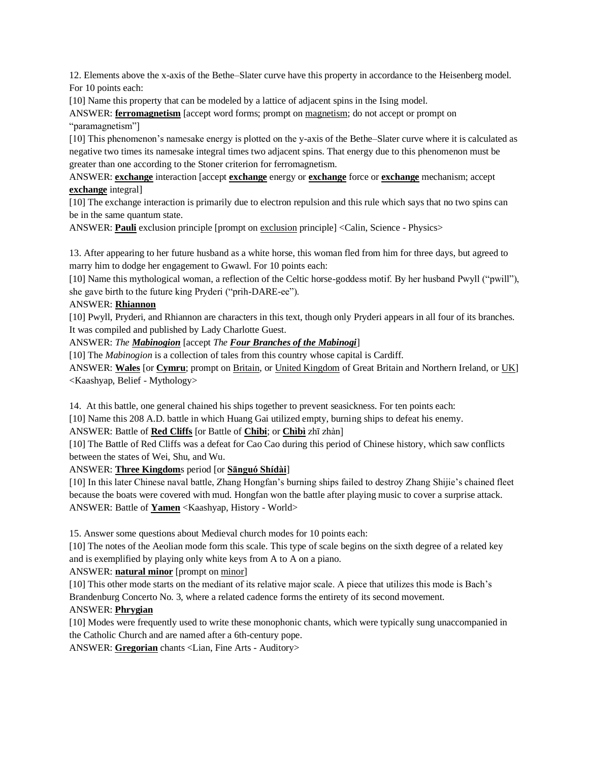12. Elements above the x-axis of the Bethe–Slater curve have this property in accordance to the Heisenberg model. For 10 points each:

[10] Name this property that can be modeled by a lattice of adjacent spins in the Ising model.

ANSWER: **ferromagnetism** [accept word forms; prompt on magnetism; do not accept or prompt on "paramagnetism"]

[10] This phenomenon's namesake energy is plotted on the y-axis of the Bethe–Slater curve where it is calculated as negative two times its namesake integral times two adjacent spins. That energy due to this phenomenon must be greater than one according to the Stoner criterion for ferromagnetism.

ANSWER: **exchange** interaction [accept **exchange** energy or **exchange** force or **exchange** mechanism; accept **exchange** integral]

[10] The exchange interaction is primarily due to electron repulsion and this rule which says that no two spins can be in the same quantum state.

ANSWER: **Pauli** exclusion principle [prompt on exclusion principle] <Calin, Science - Physics>

13. After appearing to her future husband as a white horse, this woman fled from him for three days, but agreed to marry him to dodge her engagement to Gwawl. For 10 points each:

[10] Name this mythological woman, a reflection of the Celtic horse-goddess motif. By her husband Pwyll ("pwill"), she gave birth to the future king Pryderi ("prih-DARE-ee").

## ANSWER: **Rhiannon**

[10] Pwyll, Pryderi, and Rhiannon are characters in this text, though only Pryderi appears in all four of its branches. It was compiled and published by Lady Charlotte Guest.

#### ANSWER: *The Mabinogion* [accept *The Four Branches of the Mabinogi*]

[10] The *Mabinogion* is a collection of tales from this country whose capital is Cardiff.

ANSWER: **Wales** [or **Cymru**; prompt on Britain, or United Kingdom of Great Britain and Northern Ireland, or UK] <Kaashyap, Belief - Mythology>

14. At this battle, one general chained his ships together to prevent seasickness. For ten points each:

[10] Name this 208 A.D. battle in which Huang Gai utilized empty, burning ships to defeat his enemy.

ANSWER: Battle of **Red Cliffs** [or Battle of **Chibi**; or **Chìbì** zhī zhàn]

[10] The Battle of Red Cliffs was a defeat for Cao Cao during this period of Chinese history, which saw conflicts between the states of Wei, Shu, and Wu.

ANSWER: **Three Kingdom**s period [or **Sānguó Shídài**]

[10] In this later Chinese naval battle, Zhang Hongfan's burning ships failed to destroy Zhang Shijie's chained fleet because the boats were covered with mud. Hongfan won the battle after playing music to cover a surprise attack. ANSWER: Battle of **Yamen** <Kaashyap, History - World>

15. Answer some questions about Medieval church modes for 10 points each:

[10] The notes of the Aeolian mode form this scale. This type of scale begins on the sixth degree of a related key and is exemplified by playing only white keys from A to A on a piano.

ANSWER: **natural minor** [prompt on minor]

[10] This other mode starts on the mediant of its relative major scale. A piece that utilizes this mode is Bach's Brandenburg Concerto No. 3, where a related cadence forms the entirety of its second movement.

## ANSWER: **Phrygian**

[10] Modes were frequently used to write these monophonic chants, which were typically sung unaccompanied in the Catholic Church and are named after a 6th-century pope.

ANSWER: **Gregorian** chants <Lian, Fine Arts - Auditory>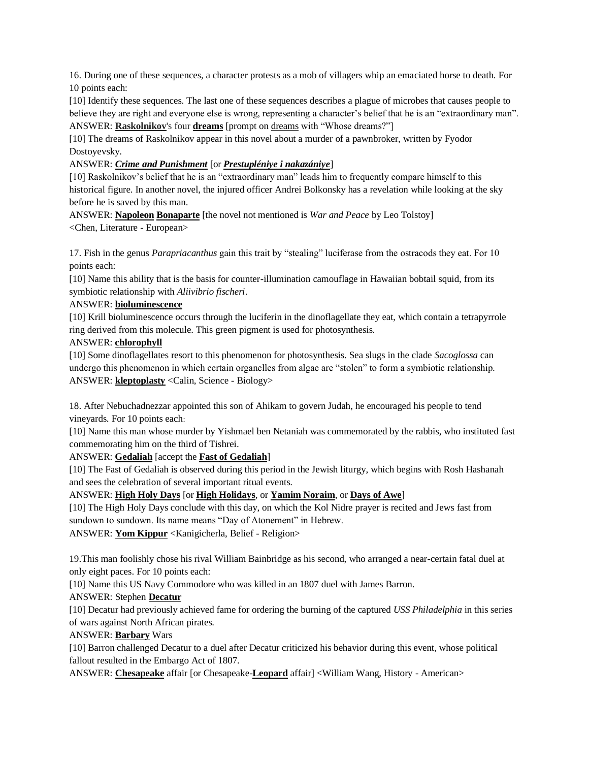16. During one of these sequences, a character protests as a mob of villagers whip an emaciated horse to death. For 10 points each:

[10] Identify these sequences. The last one of these sequences describes a plague of microbes that causes people to believe they are right and everyone else is wrong, representing a character's belief that he is an "extraordinary man". ANSWER: **Raskolnikov**'s four **dreams** [prompt on dreams with "Whose dreams?"]

[10] The dreams of Raskolnikov appear in this novel about a murder of a pawnbroker, written by Fyodor Dostoyevsky.

ANSWER: *Crime and Punishment* [or *Prestupléniye i nakazániye*]

[10] Raskolnikov's belief that he is an "extraordinary man" leads him to frequently compare himself to this historical figure. In another novel, the injured officer Andrei Bolkonsky has a revelation while looking at the sky before he is saved by this man.

ANSWER: **Napoleon Bonaparte** [the novel not mentioned is *War and Peace* by Leo Tolstoy] <Chen, Literature - European>

17. Fish in the genus *Parapriacanthus* gain this trait by "stealing" luciferase from the ostracods they eat. For 10 points each:

[10] Name this ability that is the basis for counter-illumination camouflage in Hawaiian bobtail squid, from its symbiotic relationship with *Aliivibrio fischeri*.

#### ANSWER: **bioluminescence**

[10] Krill bioluminescence occurs through the luciferin in the dinoflagellate they eat, which contain a tetrapyrrole ring derived from this molecule. This green pigment is used for photosynthesis.

#### ANSWER: **chlorophyll**

[10] Some dinoflagellates resort to this phenomenon for photosynthesis. Sea slugs in the clade *Sacoglossa* can undergo this phenomenon in which certain organelles from algae are "stolen" to form a symbiotic relationship. ANSWER: **kleptoplasty** <Calin, Science - Biology>

18. After Nebuchadnezzar appointed this son of Ahikam to govern Judah, he encouraged his people to tend vineyards. For 10 points each:

[10] Name this man whose murder by Yishmael ben Netaniah was commemorated by the rabbis, who instituted fast commemorating him on the third of Tishrei.

## ANSWER: **Gedaliah** [accept the **Fast of Gedaliah**]

[10] The Fast of Gedaliah is observed during this period in the Jewish liturgy, which begins with Rosh Hashanah and sees the celebration of several important ritual events.

## ANSWER: **High Holy Days** [or **High Holidays**, or **Yamim Noraim**, or **Days of Awe**]

[10] The High Holy Days conclude with this day, on which the Kol Nidre prayer is recited and Jews fast from sundown to sundown. Its name means "Day of Atonement" in Hebrew.

ANSWER: **Yom Kippur** <Kanigicherla, Belief - Religion>

19.This man foolishly chose his rival William Bainbridge as his second, who arranged a near-certain fatal duel at only eight paces. For 10 points each:

[10] Name this US Navy Commodore who was killed in an 1807 duel with James Barron.

ANSWER: Stephen **Decatur**

[10] Decatur had previously achieved fame for ordering the burning of the captured *USS Philadelphia* in this series of wars against North African pirates.

## ANSWER: **Barbary** Wars

[10] Barron challenged Decatur to a duel after Decatur criticized his behavior during this event, whose political fallout resulted in the Embargo Act of 1807.

ANSWER: **Chesapeake** affair [or Chesapeake-**Leopard** affair] <William Wang, History - American>